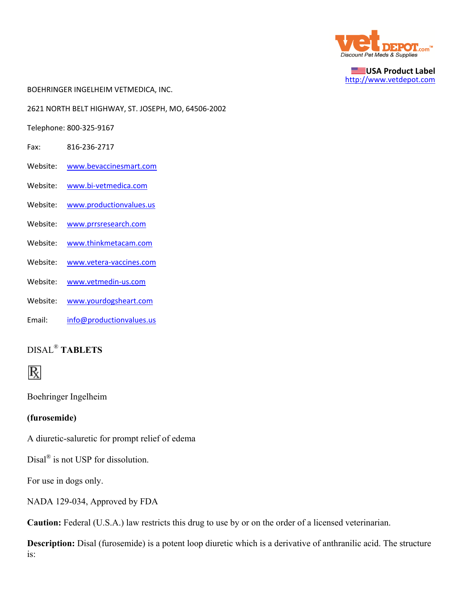

**USA Product Label** http://www.vetdepot.com

BOEHRINGER INGELHEIM VETMEDICA, INC.

2621 NORTH BELT HIGHWAY, ST. JOSEPH, MO, 64506‐2002

Telephone: 800‐325‐9167

- Fax: 816‐236‐2717
- Website: www.bevaccinesmart.com
- Website: www.bi‐vetmedica.com
- Website: www.productionvalues.us
- Website: www.prrsresearch.com
- Website: www.thinkmetacam.com
- Website: www.vetera-vaccines.com
- Website: www.vetmedin-us.com
- Website: www.yourdogsheart.com
- Email: info@productionvalues.us

# DISAL® **TABLETS**



Boehringer Ingelheim

#### **(furosemide)**

A diuretic-saluretic for prompt relief of edema

Disal<sup>®</sup> is not USP for dissolution.

For use in dogs only.

NADA 129-034, Approved by FDA

**Caution:** Federal (U.S.A.) law restricts this drug to use by or on the order of a licensed veterinarian.

**Description:** Disal (furosemide) is a potent loop diuretic which is a derivative of anthranilic acid. The structure is: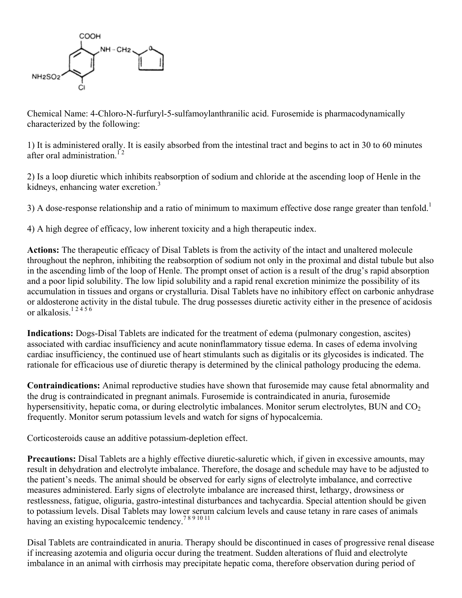

Chemical Name: 4-Chloro-N-furfuryl-5-sulfamoylanthranilic acid. Furosemide is pharmacodynamically characterized by the following:

1) It is administered orally. It is easily absorbed from the intestinal tract and begins to act in 30 to 60 minutes after oral administration  $12$ 

2) Is a loop diuretic which inhibits reabsorption of sodium and chloride at the ascending loop of Henle in the kidneys, enhancing water excretion.<sup>3</sup>

3) A dose-response relationship and a ratio of minimum to maximum effective dose range greater than tenfold.<sup>1</sup>

4) A high degree of efficacy, low inherent toxicity and a high therapeutic index.

**Actions:** The therapeutic efficacy of Disal Tablets is from the activity of the intact and unaltered molecule throughout the nephron, inhibiting the reabsorption of sodium not only in the proximal and distal tubule but also in the ascending limb of the loop of Henle. The prompt onset of action is a result of the drug's rapid absorption and a poor lipid solubility. The low lipid solubility and a rapid renal excretion minimize the possibility of its accumulation in tissues and organs or crystalluria. Disal Tablets have no inhibitory effect on carbonic anhydrase or aldosterone activity in the distal tubule. The drug possesses diuretic activity either in the presence of acidosis or alkalosis.<sup>12456</sup>

**Indications:** Dogs-Disal Tablets are indicated for the treatment of edema (pulmonary congestion, ascites) associated with cardiac insufficiency and acute noninflammatory tissue edema. In cases of edema involving cardiac insufficiency, the continued use of heart stimulants such as digitalis or its glycosides is indicated. The rationale for efficacious use of diuretic therapy is determined by the clinical pathology producing the edema.

**Contraindications:** Animal reproductive studies have shown that furosemide may cause fetal abnormality and the drug is contraindicated in pregnant animals. Furosemide is contraindicated in anuria, furosemide hypersensitivity, hepatic coma, or during electrolytic imbalances. Monitor serum electrolytes, BUN and  $CO<sub>2</sub>$ frequently. Monitor serum potassium levels and watch for signs of hypocalcemia.

Corticosteroids cause an additive potassium-depletion effect.

**Precautions:** Disal Tablets are a highly effective diuretic-saluretic which, if given in excessive amounts, may result in dehydration and electrolyte imbalance. Therefore, the dosage and schedule may have to be adjusted to the patient's needs. The animal should be observed for early signs of electrolyte imbalance, and corrective measures administered. Early signs of electrolyte imbalance are increased thirst, lethargy, drowsiness or restlessness, fatigue, oliguria, gastro-intestinal disturbances and tachycardia. Special attention should be given to potassium levels. Disal Tablets may lower serum calcium levels and cause tetany in rare cases of animals having an existing hypocalcemic tendency.<sup>7891011</sup>

Disal Tablets are contraindicated in anuria. Therapy should be discontinued in cases of progressive renal disease if increasing azotemia and oliguria occur during the treatment. Sudden alterations of fluid and electrolyte imbalance in an animal with cirrhosis may precipitate hepatic coma, therefore observation during period of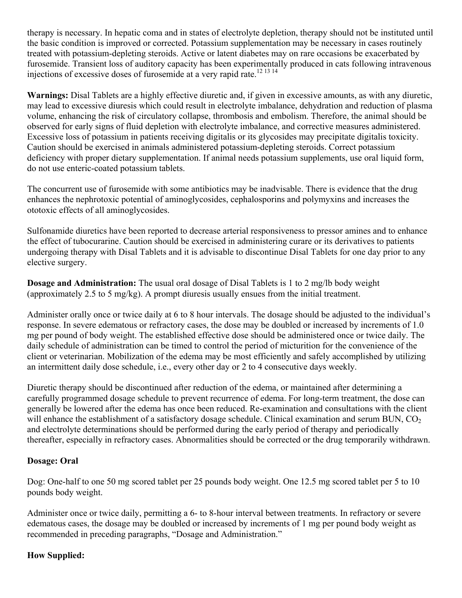therapy is necessary. In hepatic coma and in states of electrolyte depletion, therapy should not be instituted until the basic condition is improved or corrected. Potassium supplementation may be necessary in cases routinely treated with potassium-depleting steroids. Active or latent diabetes may on rare occasions be exacerbated by furosemide. Transient loss of auditory capacity has been experimentally produced in cats following intravenous injections of excessive doses of furosemide at a very rapid rate.12 13 14

**Warnings:** Disal Tablets are a highly effective diuretic and, if given in excessive amounts, as with any diuretic, may lead to excessive diuresis which could result in electrolyte imbalance, dehydration and reduction of plasma volume, enhancing the risk of circulatory collapse, thrombosis and embolism. Therefore, the animal should be observed for early signs of fluid depletion with electrolyte imbalance, and corrective measures administered. Excessive loss of potassium in patients receiving digitalis or its glycosides may precipitate digitalis toxicity. Caution should be exercised in animals administered potassium-depleting steroids. Correct potassium deficiency with proper dietary supplementation. If animal needs potassium supplements, use oral liquid form, do not use enteric-coated potassium tablets.

The concurrent use of furosemide with some antibiotics may be inadvisable. There is evidence that the drug enhances the nephrotoxic potential of aminoglycosides, cephalosporins and polymyxins and increases the ototoxic effects of all aminoglycosides.

Sulfonamide diuretics have been reported to decrease arterial responsiveness to pressor amines and to enhance the effect of tubocurarine. Caution should be exercised in administering curare or its derivatives to patients undergoing therapy with Disal Tablets and it is advisable to discontinue Disal Tablets for one day prior to any elective surgery.

**Dosage and Administration:** The usual oral dosage of Disal Tablets is 1 to 2 mg/lb body weight (approximately 2.5 to 5 mg/kg). A prompt diuresis usually ensues from the initial treatment.

Administer orally once or twice daily at 6 to 8 hour intervals. The dosage should be adjusted to the individual's response. In severe edematous or refractory cases, the dose may be doubled or increased by increments of 1.0 mg per pound of body weight. The established effective dose should be administered once or twice daily. The daily schedule of administration can be timed to control the period of micturition for the convenience of the client or veterinarian. Mobilization of the edema may be most efficiently and safely accomplished by utilizing an intermittent daily dose schedule, i.e., every other day or 2 to 4 consecutive days weekly.

Diuretic therapy should be discontinued after reduction of the edema, or maintained after determining a carefully programmed dosage schedule to prevent recurrence of edema. For long-term treatment, the dose can generally be lowered after the edema has once been reduced. Re-examination and consultations with the client will enhance the establishment of a satisfactory dosage schedule. Clinical examination and serum BUN,  $CO<sub>2</sub>$ and electrolyte determinations should be performed during the early period of therapy and periodically thereafter, especially in refractory cases. Abnormalities should be corrected or the drug temporarily withdrawn.

#### **Dosage: Oral**

Dog: One-half to one 50 mg scored tablet per 25 pounds body weight. One 12.5 mg scored tablet per 5 to 10 pounds body weight.

Administer once or twice daily, permitting a 6- to 8-hour interval between treatments. In refractory or severe edematous cases, the dosage may be doubled or increased by increments of 1 mg per pound body weight as recommended in preceding paragraphs, "Dosage and Administration."

#### **How Supplied:**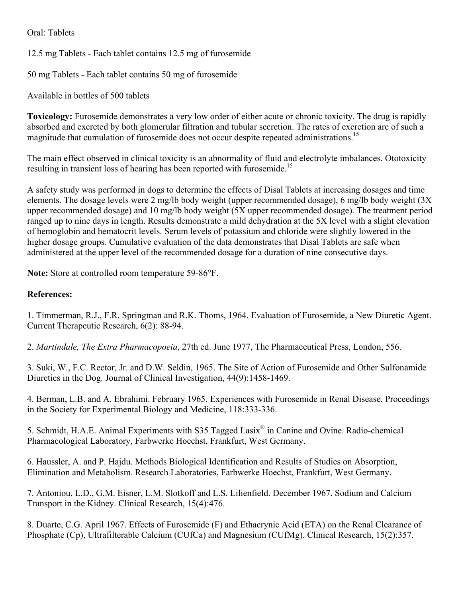Oral: Tablets

12.5 mg Tablets - Each tablet contains 12.5 mg of furosemide

50 mg Tablets - Each tablet contains 50 mg of furosemide

Available in bottles of 500 tablets

**Toxicology:** Furosemide demonstrates a very low order of either acute or chronic toxicity. The drug is rapidly absorbed and excreted by both glomerular filtration and tubular secretion. The rates of excretion are of such a magnitude that cumulation of furosemide does not occur despite repeated administrations.<sup>15</sup>

The main effect observed in clinical toxicity is an abnormality of fluid and electrolyte imbalances. Ototoxicity resulting in transient loss of hearing has been reported with furosemide.<sup>15</sup>

A safety study was performed in dogs to determine the effects of Disal Tablets at increasing dosages and time elements. The dosage levels were 2 mg/lb body weight (upper recommended dosage), 6 mg/lb body weight (3X upper recommended dosage) and 10 mg/lb body weight (5X upper recommended dosage). The treatment period ranged up to nine days in length. Results demonstrate a mild dehydration at the 5X level with a slight elevation of hemoglobin and hematocrit levels. Serum levels of potassium and chloride were slightly lowered in the higher dosage groups. Cumulative evaluation of the data demonstrates that Disal Tablets are safe when administered at the upper level of the recommended dosage for a duration of nine consecutive days.

**Note:** Store at controlled room temperature 59-86°F.

### **References:**

1. Timmerman, R.J., F.R. Springman and R.K. Thoms, 1964. Evaluation of Furosemide, a New Diuretic Agent. Current Therapeutic Research, 6(2): 88-94.

2. *Martindale, The Extra Pharmacopoeia*, 27th ed. June 1977, The Pharmaceutical Press, London, 556.

3. Suki, W., F.C. Rector, Jr. and D.W. Seldin, 1965. The Site of Action of Furosemide and Other Sulfonamide Diuretics in the Dog. Journal of Clinical Investigation, 44(9):1458-1469.

4. Berman, L.B. and A. Ebrahimi. February 1965. Experiences with Furosemide in Renal Disease. Proceedings in the Society for Experimental Biology and Medicine, 118:333-336.

5. Schmidt, H.A.E. Animal Experiments with S35 Tagged Lasix® in Canine and Ovine. Radio-chemical Pharmacological Laboratory, Farbwerke Hoechst, Frankfurt, West Germany.

6. Haussler, A. and P. Hajdu. Methods Biological Identification and Results of Studies on Absorption, Elimination and Metabolism. Research Laboratories, Farbwerke Hoechst, Frankfurt, West Germany.

7. Antoniou, L.D., G.M. Eisner, L.M. Slotkoff and L.S. Lilienfield. December 1967. Sodium and Calcium Transport in the Kidney. Clinical Research, 15(4):476.

8. Duarte, C.G. April 1967. Effects of Furosemide (F) and Ethacrynic Acid (ETA) on the Renal Clearance of Phosphate (Cp), Ultrafilterable Calcium (CUfCa) and Magnesium (CUfMg). Clinical Research, 15(2):357.